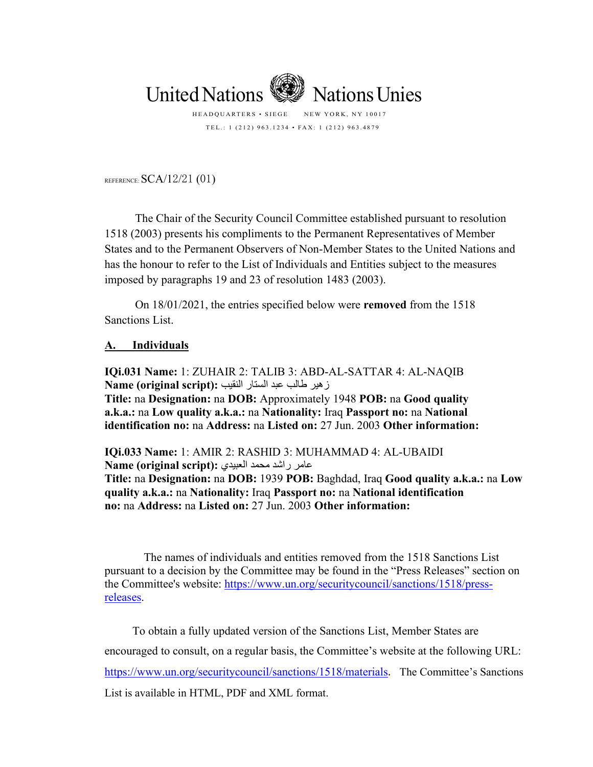

TEL.: 1 (212) 963.1234 • FAX: 1 (212) 963.4879

REFERENCE:  $SCA/12/21$  (01)

The Chair of the Security Council Committee established pursuant to resolution 1518 (2003) presents his compliments to the Permanent Representatives of Member States and to the Permanent Observers of Non-Member States to the United Nations and has the honour to refer to the List of Individuals and Entities subject to the measures imposed by paragraphs 19 and 23 of resolution 1483 (2003).

On 18/01/2021, the entries specified below were **removed** from the 1518 Sanctions List.

## **A. Individuals**

**IQi.031 Name:** 1: ZUHAIR 2: TALIB 3: ABD-AL-SATTAR 4: AL-NAQIB زھیر طالب عبد الستار النقیب **:(script original (Name Title:** na **Designation:** na **DOB:** Approximately 1948 **POB:** na **Good quality a.k.a.:** na **Low quality a.k.a.:** na **Nationality:** Iraq **Passport no:** na **National identification no:** na **Address:** na **Listed on:** 27 Jun. 2003 **Other information:**

**IQi.033 Name:** 1: AMIR 2: RASHID 3: MUHAMMAD 4: AL-UBAIDI عامر راشد محمد العبیدي **:(script original (Name Title:** na **Designation:** na **DOB:** 1939 **POB:** Baghdad, Iraq **Good quality a.k.a.:** na **Low quality a.k.a.:** na **Nationality:** Iraq **Passport no:** na **National identification no:** na **Address:** na **Listed on:** 27 Jun. 2003 **Other information:**

The names of individuals and entities removed from the 1518 Sanctions List pursuant to a decision by the Committee may be found in the "Press Releases" section on the Committee's website: [https://www.un.org/securitycouncil/sanctions/1518/press](https://www.un.org/securitycouncil/sanctions/1518/press-releases)[releases.](https://www.un.org/securitycouncil/sanctions/1518/press-releases)

To obtain a fully updated version of the Sanctions List, Member States are encouraged to consult, on a regular basis, the Committee's website at the following URL: <https://www.un.org/securitycouncil/sanctions/1518/materials>. The Committee's Sanctions List is available in HTML, PDF and XML format.